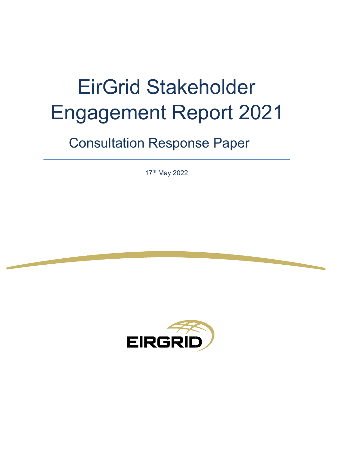# EirGrid Stakeholder Engagement Report 2021

## Consultation Response Paper

17th May 2022

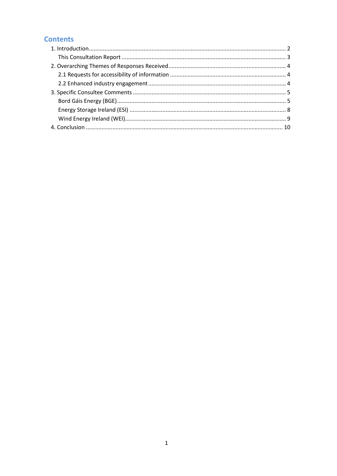### **Contents**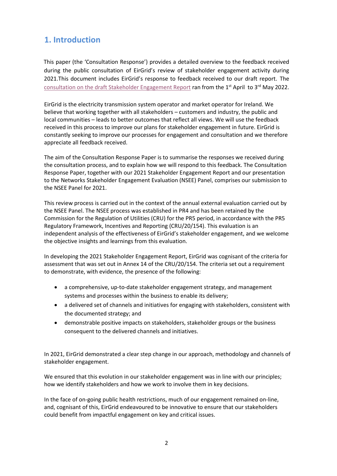## <span id="page-2-0"></span>**1. Introduction**

This paper (the 'Consultation Response') provides a detailed overview to the feedback received during the public consultation of EirGrid's review of stakeholder engagement activity during 2021.This document includes EirGrid's response to feedback received to our draft report. The [consultation on the draft Stakeholder Engagement Report](https://www.eirgridgroup.com/site-files/library/EirGrid/EirGrid-Stakeholder-Engagement-Report-2021-_.pdf) ran from the 1<sup>st</sup> April to 3<sup>rd</sup> May 2022.

EirGrid is the electricity transmission system operator and market operator for Ireland. We believe that working together with all stakeholders – customers and industry, the public and local communities – leads to better outcomes that reflect all views. We will use the feedback received in this process to improve our plans for stakeholder engagement in future. EirGrid is constantly seeking to improve our processes for engagement and consultation and we therefore appreciate all feedback received.

The aim of the Consultation Response Paper is to summarise the responses we received during the consultation process, and to explain how we will respond to this feedback. The Consultation Response Paper, together with our 2021 Stakeholder Engagement Report and our presentation to the Networks Stakeholder Engagement Evaluation (NSEE) Panel, comprises our submission to the NSEE Panel for 2021.

This review process is carried out in the context of the annual external evaluation carried out by the NSEE Panel. The NSEE process was established in PR4 and has been retained by the Commission for the Regulation of Utilities (CRU) for the PR5 period, in accordance with the PR5 Regulatory Framework, Incentives and Reporting (CRU/20/154). This evaluation is an independent analysis of the effectiveness of EirGrid's stakeholder engagement, and we welcome the objective insights and learnings from this evaluation.

In developing the 2021 Stakeholder Engagement Report, EirGrid was cognisant of the criteria for assessment that was set out in Annex 14 of the CRU/20/154. The criteria set out a requirement to demonstrate, with evidence, the presence of the following:

- a comprehensive, up-to-date stakeholder engagement strategy, and management systems and processes within the business to enable its delivery;
- a delivered set of channels and initiatives for engaging with stakeholders, consistent with the documented strategy; and
- demonstrable positive impacts on stakeholders, stakeholder groups or the business consequent to the delivered channels and initiatives.

In 2021, EirGrid demonstrated a clear step change in our approach, methodology and channels of stakeholder engagement.

We ensured that this evolution in our stakeholder engagement was in line with our principles; how we identify stakeholders and how we work to involve them in key decisions.

In the face of on-going public health restrictions, much of our engagement remained on-line, and, cognisant of this, EirGrid endeavoured to be innovative to ensure that our stakeholders could benefit from impactful engagement on key and critical issues.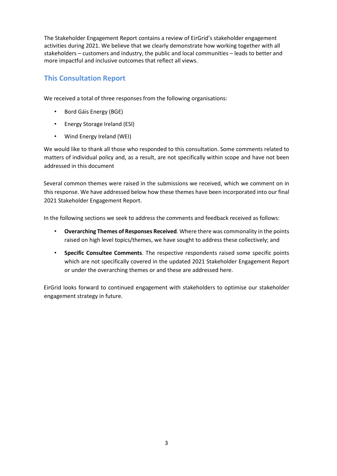The Stakeholder Engagement Report contains a review of EirGrid's stakeholder engagement activities during 2021. We believe that we clearly demonstrate how working together with all stakeholders – customers and industry, the public and local communities – leads to better and more impactful and inclusive outcomes that reflect all views.

#### <span id="page-3-0"></span>**This Consultation Report**

We received a total of three responses from the following organisations:

- Bord Gáis Energy (BGE)
- Energy Storage Ireland (ESI)
- Wind Energy Ireland (WEI)

We would like to thank all those who responded to this consultation. Some comments related to matters of individual policy and, as a result, are not specifically within scope and have not been addressed in this document

Several common themes were raised in the submissions we received, which we comment on in this response. We have addressed below how these themes have been incorporated into our final 2021 Stakeholder Engagement Report.

In the following sections we seek to address the comments and feedback received as follows:

- **Overarching Themes of Responses Received**. Where there was commonality in the points raised on high level topics/themes, we have sought to address these collectively; and
- **Specific Consultee Comments**. The respective respondents raised some specific points which are not specifically covered in the updated 2021 Stakeholder Engagement Report or under the overarching themes or and these are addressed here.

EirGrid looks forward to continued engagement with stakeholders to optimise our stakeholder engagement strategy in future.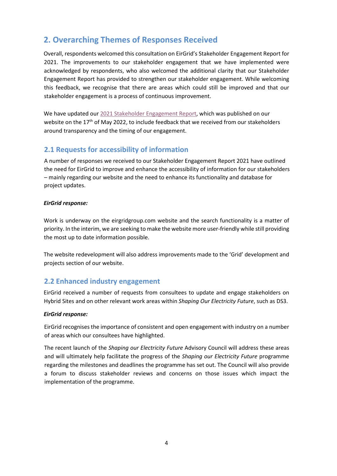## <span id="page-4-0"></span>**2. Overarching Themes of Responses Received**

Overall, respondents welcomed this consultation on EirGrid's Stakeholder Engagement Report for 2021. The improvements to our stakeholder engagement that we have implemented were acknowledged by respondents, who also welcomed the additional clarity that our Stakeholder Engagement Report has provided to strengthen our stakeholder engagement. While welcoming this feedback, we recognise that there are areas which could still be improved and that our stakeholder engagement is a process of continuous improvement.

We have updated our [2021 Stakeholder Engagement Report](https://www.eirgridgroup.com/site-files/library/EirGrid/EirGrid-Stakeholder-Engagement-Report-2021_.pdf)[,](http://www.eirgridgroup.com/site-files/library/EirGrid/206762-EirGrid-Stakeholder-Engagement-Report-2020_May_LR7.pdf) which was published on our website on the 17<sup>th</sup> of May 2022, to include feedback that we received from our stakeholders around transparency and the timing of our engagement.

#### <span id="page-4-1"></span>**2.1 Requests for accessibility of information**

A number of responses we received to our Stakeholder Engagement Report 2021 have outlined the need for EirGrid to improve and enhance the accessibility of information for our stakeholders – mainly regarding our website and the need to enhance its functionality and database for project updates.

#### *EirGrid response:*

Work is underway on the eirgridgroup.com website and the search functionality is a matter of priority. In the interim, we are seeking to make the website more user-friendly while still providing the most up to date information possible.

The website redevelopment will also address improvements made to the 'Grid' development and projects section of our website.

#### <span id="page-4-2"></span>**2.2 Enhanced industry engagement**

EirGrid received a number of requests from consultees to update and engage stakeholders on Hybrid Sites and on other relevant work areas within *Shaping Our Electricity Future*, such as DS3.

#### *EirGrid response:*

EirGrid recognises the importance of consistent and open engagement with industry on a number of areas which our consultees have highlighted.

The recent launch of the *Shaping our Electricity Future* Advisory Council will address these areas and will ultimately help facilitate the progress of the *Shaping our Electricity Future* programme regarding the milestones and deadlines the programme has set out. The Council will also provide a forum to discuss stakeholder reviews and concerns on those issues which impact the implementation of the programme.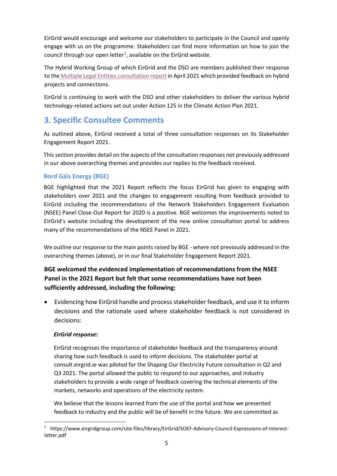EirGrid would encourage and welcome our stakeholders to participate in the Council and openly engage with us on the programme. Stakeholders can find more information on how to join the council through our open letter<sup>1</sup>, available on the EirGrid website.

The Hybrid Working Group of which EirGrid and the DSO are members published their response to the [Multiple Legal Entities consultation report](http://www.eirgridgroup.com/site-files/library/EirGrid/FlexTech-Multiple-Legal-Entity-Response-to-Consultation.pdf) in April 2021 which provided feedback on hybrid projects and connections.

EirGrid is continuing to work with the DSO and other stakeholders to deliver the various hybrid technology-related actions set out under Action 125 in the Climate Action Plan 2021.

## <span id="page-5-0"></span>**3. Specific Consultee Comments**

As outlined above, EirGrid received a total of three consultation responses on its Stakeholder Engagement Report 2021.

This section provides detail on the aspects of the consultation responses not previously addressed in our above overarching themes and provides our replies to the feedback received.

#### <span id="page-5-1"></span>**Bord Gáis Energy (BGE)**

BGE highlighted that the 2021 Report reflects the focus EirGrid has given to engaging with stakeholders over 2021 and the changes to engagement resulting from feedback provided to EirGrid including the recommendations of the Network Stakeholders Engagement Evaluation (NSEE) Panel Close-Out Report for 2020 is a positive. BGE welcomes the improvements noted to EirGrid's website including the development of the new online consultation portal to address many of the recommendations of the NSEE Panel in 2021.

We outline our response to the main points raised by BGE - where not previously addressed in the overarching themes (above), or in our final Stakeholder Engagement Report 2021.

#### **BGE welcomed the evidenced implementation of recommendations from the NSEE Panel in the 2021 Report but felt that some recommendations have not been sufficiently addressed, including the following:**

• Evidencing how EirGrid handle and process stakeholder feedback, and use it to inform decisions and the rationale used where stakeholder feedback is not considered in decisions:

#### *EirGrid response:*

EirGrid recognises the importance of stakeholder feedback and the transparency around sharing how such feedback is used to inform decisions. The stakeholder portal at consult.eirgrid.ie was piloted for the Shaping Our Electricity Future consultation in Q2 and Q3 2021. The portal allowed the public to respond to our approaches, and industry stakeholders to provide a wide range of feedback covering the technical elements of the markets, networks and operations of the electricity system.

We believe that the lessons learned from the use of the portal and how we presented feedback to industry and the public will be of benefit in the future. We are committed as

<span id="page-5-2"></span><sup>1</sup> https://www.eirgridgroup.com/site-files/library/EirGrid/SOEF-Advisory-Council-Expressions-of-Interestletter.pdf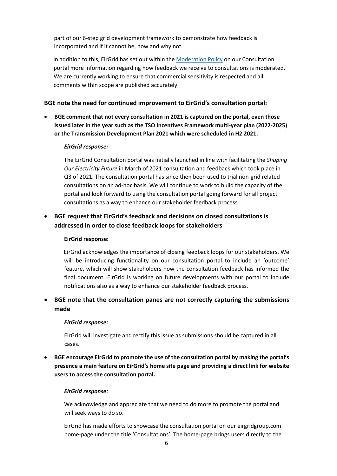part of our 6-step grid development framework to demonstrate how feedback is incorporated and if it cannot be, how and why not.

In addition to this, EirGrid has set out within the [Moderation Policy](https://consult.eirgrid.ie/content/moderation-policy) on our Consultation portal more information regarding how feedback we receive to consultations is moderated. We are currently working to ensure that commercial sensitivity is respected and all comments within scope are published accurately.

#### **BGE note the need for continued improvement to EirGrid's consultation portal:**

• **BGE comment that not every consultation in 2021 is captured on the portal, even those issued later in the year such as the TSO Incentives Framework multi-year plan (2022-2025) or the Transmission Development Plan 2021 which were scheduled in H2 2021.** 

#### *EirGrid response:*

The EirGrid Consultation portal was initially launched in line with facilitating the *Shaping Our Electricity Future* in March of 2021 consultation and feedback which took place in Q3 of 2021. The consultation portal has since then been used to trial non-grid related consultations on an ad-hoc basis. We will continue to work to build the capacity of the portal and look forward to using the consultation portal going forward for all project consultations as a way to enhance our stakeholder feedback process.

#### • **BGE request that EirGrid's feedback and decisions on closed consultations is addressed in order to close feedback loops for stakeholders**

#### **EirGrid response:**

EirGrid acknowledges the importance of closing feedback loops for our stakeholders. We will be introducing functionality on our consultation portal to include an 'outcome' feature, which will show stakeholders how the consultation feedback has informed the final document. EirGrid is working on future developments with our portal to include notifications also as a way to enhance our stakeholder feedback process.

#### • **BGE note that the consultation panes are not correctly capturing the submissions made**

#### *EirGrid response:*

EirGrid will investigate and rectify this issue as submissions should be captured in all cases.

• **BGE encourage EirGrid to promote the use of the consultation portal by making the portal's presence a main feature on EirGrid's home site page and providing a direct link for website users to access the consultation portal.** 

#### *EirGrid response:*

We acknowledge and appreciate that we need to do more to promote the portal and will seek ways to do so.

EirGrid has made efforts to showcase the consultation portal on our eirgridgroup.com home-page under the title 'Consultations'. The home-page brings users directly to the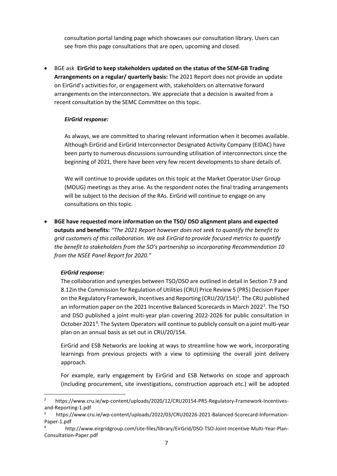consultation portal landing page which showcases our consultation library. Users can see from this page consultations that are open, upcoming and closed.

• BGE ask **EirGrid to keep stakeholders updated on the status of the SEM-GB Trading Arrangements on a regular/ quarterly basis:** The 2021 Report does not provide an update on EirGrid's activities for, or engagement with, stakeholders on alternative forward arrangements on the interconnectors. We appreciate that a decision is awaited from a recent consultation by the SEMC Committee on this topic.

#### *EirGrid response:*

As always, we are committed to sharing relevant information when it becomes available. Although EirGrid and EirGrid Interconnector Designated Activity Company (EIDAC) have been party to numerous discussions surrounding utilisation of interconnectors since the beginning of 2021, there have been very few recent developments to share details of.

We will continue to provide updates on this topic at the Market Operator User Group (MOUG) meetings as they arise. As the respondent notes the final trading arrangements will be subject to the decision of the RAs. EirGrid will continue to engage on any consultations on this topic.

• **BGE have requested more information on the TSO/ DSO alignment plans and expected outputs and benefits:** *"The 2021 Report however does not seek to quantify the benefit to grid customers of this collaboration. We ask EirGrid to provide focused metrics to quantify the benefit to stakeholders from the SO's partnership so incorporating Recommendation 10 from the NSEE Panel Report for 2020."*

#### *EirGrid response:*

The collaboration and synergies between TSO/DSO are outlined in detail in Section 7.9 and 8.12in the Commission for Regulation of Utilities (CRU) Price Review 5 (PR5) Decision Paper on the Regulatory Framework, Incentives and Reporting (CRU/[2](#page-7-0)0/154)<sup>2</sup>. The CRU published an information paper on the 2021 Incentive Balanced Scorecards in March 2022<sup>[3](#page-7-1)</sup>. The TSO and DSO published a joint multi-year plan covering 2022-2026 for public consultation in October 2021<sup>[4](#page-7-2)</sup>. The System Operators will continue to publicly consult on a joint multi-year plan on an annual basis as set out in CRU/20/154.

EirGrid and ESB Networks are looking at ways to streamline how we work, incorporating learnings from previous projects with a view to optimising the overall joint delivery approach.

For example, early engagement by EirGrid and ESB Networks on scope and approach (including procurement, site investigations, construction approach etc.) will be adopted

<span id="page-7-0"></span><sup>2</sup> https://www.cru.ie/wp-content/uploads/2020/12/CRU20154-PR5-Regulatory-Framework-Incentivesand-Reporting-1.pdf

<span id="page-7-1"></span><sup>3</sup> https://www.cru.ie/wp-content/uploads/2022/03/CRU20226-2021-Balanced-Scorecard-Information-Paper-1.pdf

<span id="page-7-2"></span><sup>4</sup> http://www.eirgridgroup.com/site-files/library/EirGrid/DSO-TSO-Joint-Incentive-Multi-Year-Plan-Consultation-Paper.pdf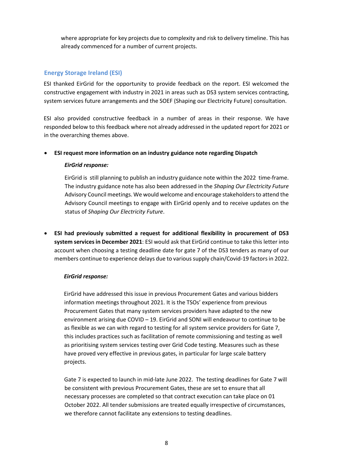where appropriate for key projects due to complexity and risk to delivery timeline. This has already commenced for a number of current projects.

#### <span id="page-8-0"></span>**Energy Storage Ireland (ESI)**

ESI thanked EirGrid for the opportunity to provide feedback on the report. ESI welcomed the constructive engagement with industry in 2021 in areas such as DS3 system services contracting, system services future arrangements and the SOEF (Shaping our Electricity Future) consultation.

ESI also provided constructive feedback in a number of areas in their response. We have responded below to this feedback where not already addressed in the updated report for 2021 or in the overarching themes above.

#### • **ESI request more information on an industry guidance note regarding Dispatch**

#### *EirGrid response:*

EirGrid is still planning to publish an industry guidance note within the 2022 time-frame. The industry guidance note has also been addressed in the *Shaping Our Electricity Future* Advisory Council meetings. We would welcome and encourage stakeholders to attend the Advisory Council meetings to engage with EirGrid openly and to receive updates on the status of *Shaping Our Electricity Future*.

• **ESI had previously submitted a request for additional flexibility in procurement of DS3 system services in December 2021**: ESI would ask that EirGrid continue to take this letter into account when choosing a testing deadline date for gate 7 of the DS3 tenders as many of our members continue to experience delays due to various supply chain/Covid-19 factors in 2022.

#### *EirGrid response:*

EirGrid have addressed this issue in previous Procurement Gates and various bidders information meetings throughout 2021. It is the TSOs' experience from previous Procurement Gates that many system services providers have adapted to the new environment arising due COVID – 19. EirGrid and SONI will endeavour to continue to be as flexible as we can with regard to testing for all system service providers for Gate 7, this includes practices such as facilitation of remote commissioning and testing as well as prioritising system services testing over Grid Code testing. Measures such as these have proved very effective in previous gates, in particular for large scale battery projects.

Gate 7 is expected to launch in mid-late June 2022. The testing deadlines for Gate 7 will be consistent with previous Procurement Gates, these are set to ensure that all necessary processes are completed so that contract execution can take place on 01 October 2022. All tender submissions are treated equally irrespective of circumstances, we therefore cannot facilitate any extensions to testing deadlines.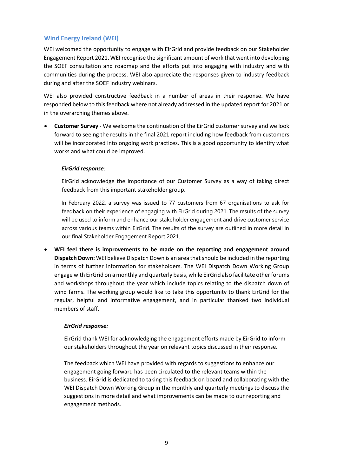#### <span id="page-9-0"></span>**Wind Energy Ireland (WEI)**

WEI welcomed the opportunity to engage with EirGrid and provide feedback on our Stakeholder Engagement Report 2021. WEI recognise the significant amount of work that went into developing the SOEF consultation and roadmap and the efforts put into engaging with industry and with communities during the process. WEI also appreciate the responses given to industry feedback during and after the SOEF industry webinars.

WEI also provided constructive feedback in a number of areas in their response. We have responded below to this feedback where not already addressed in the updated report for 2021 or in the overarching themes above.

• **Customer Survey** - We welcome the continuation of the EirGrid customer survey and we look forward to seeing the results in the final 2021 report including how feedback from customers will be incorporated into ongoing work practices. This is a good opportunity to identify what works and what could be improved.

#### *EirGrid response:*

EirGrid acknowledge the importance of our Customer Survey as a way of taking direct feedback from this important stakeholder group.

In February 2022, a survey was issued to 77 customers from 67 organisations to ask for feedback on their experience of engaging with EirGrid during 2021. The results of the survey will be used to inform and enhance our stakeholder engagement and drive customer service across various teams within EirGrid. The results of the survey are outlined in more detail in our final Stakeholder Engagement Report 2021.

• **WEI feel there is improvements to be made on the reporting and engagement around Dispatch Down:** WEI believe Dispatch Down is an area that should be included in the reporting in terms of further information for stakeholders. The WEI Dispatch Down Working Group engage with EirGrid on a monthly and quarterly basis, while EirGrid also facilitate other forums and workshops throughout the year which include topics relating to the dispatch down of wind farms. The working group would like to take this opportunity to thank EirGrid for the regular, helpful and informative engagement, and in particular thanked two individual members of staff.

#### *EirGrid response:*

EirGrid thank WEI for acknowledging the engagement efforts made by EirGrid to inform our stakeholders throughout the year on relevant topics discussed in their response.

The feedback which WEI have provided with regards to suggestions to enhance our engagement going forward has been circulated to the relevant teams within the business. EirGrid is dedicated to taking this feedback on board and collaborating with the WEI Dispatch Down Working Group in the monthly and quarterly meetings to discuss the suggestions in more detail and what improvements can be made to our reporting and engagement methods.